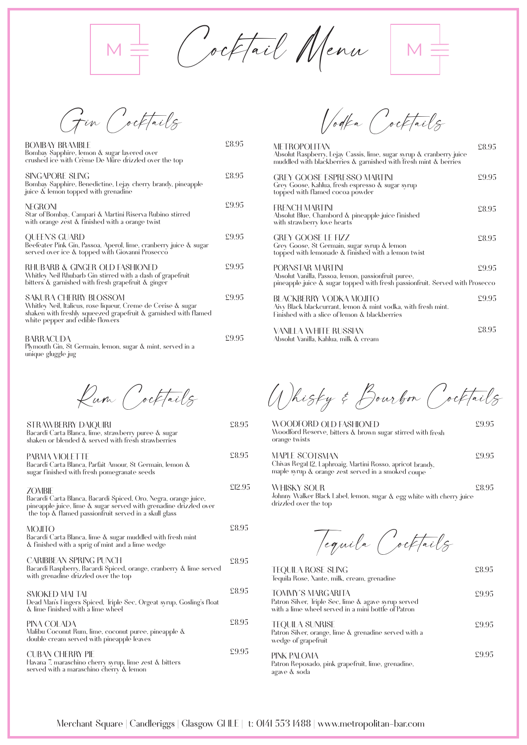$M \equiv$  Cocktail Menu  $M \equiv$ 

| BOMBAY BRAMBI F<br>Bombay Sapphire, lemon & sugar layered over<br>crushed ice with Crème De Mûre drizzled over the top                                                                       | £8.95 |
|----------------------------------------------------------------------------------------------------------------------------------------------------------------------------------------------|-------|
| SINGAPORE SHNG<br>Bombay Sapphire, Benedictine, Lejay cherry brandy, pineapple<br>juice & lemon topped with grenadine                                                                        | £8.95 |
| NEGRONI<br>Star of Bombay, Campari & Martini Riserva Rubino stirred<br>with orange zest & finished with a orange twist                                                                       | £9.95 |
| <b>OUEEN'S GUARD</b><br>Beefeater Pink Gin, Passoa, Aperol, lime, cranberry juice & sugar<br>served over ice & topped with Giovanni Prosecco                                                 | £9.95 |
| RHUBARB & GINGER OI D FASHIONED<br>Whitley Neil Rhubarb Gin stirred with a dash of grapefruit<br>bitters & garnished with fresh grapefruit & ginger                                          | £995  |
| SAKURA CHERRY BLOSSOM<br>Whitley Neil, Italicus, rose liqueur, Creme de Cerise & sugar<br>shaken with freshly squeezed grapefruit & garnished with flamed<br>white pepper and edible flowers | £9.95 |
| BARRACUDA                                                                                                                                                                                    | £9.95 |

BARRACUDA Plymouth Gin, St Germain, lemon, sugar & mint, served in a unique gluggle jug

Rum Cocktails

| STRAWBERRY DAIQUIRI<br>Bacardi Carta Blanca, lime, strawberry puree & sugar<br>shaken or blended & served with fresh strawberries                                                                              | £8.95  |
|----------------------------------------------------------------------------------------------------------------------------------------------------------------------------------------------------------------|--------|
| PARMA VIOLETTE<br>Bacardi Carta Blanca, Parfait Amour, St Germain, lemon &<br>sugar finished with fresh pomegranate seeds                                                                                      | £8.95  |
| <b>ZOMBIE</b><br>Bacardi Carta Blanca, Bacardi Spiced, Oro, Negra, orange juice,<br>pineapple juice, lime & sugar served with grenadine drizzled over<br>the top & flamed passionfruit served in a skull glass | £12.95 |
| MOJITO<br>Bacardi Carta Blanca, lime & sugar muddled with fresh mint<br>& finished with a sprig of mint and a lime wedge                                                                                       | £8.95  |
| CARIBBEAN SPRING PUNCH<br>Bacardi Raspberry, Bacardi Spiced, orange, cranberry & lime served<br>with grenadine drizzled over the top                                                                           | £8.95  |
| SMOKED MAI TAI<br>Dead Man's Fingers Spiced, Triple Sec, Orgeat syrup, Gosling's float<br>& lime finished with a lime wheel                                                                                    | £8.95  |
| PINA COLADA<br>Malibu Coconut Rum, lime, coconut puree, pineapple &<br>double cream served with pineapple leaves                                                                                               | £8.95  |
| CUBAN CHERRY PIE<br>Havana 7, maraschino cherry syrup, lime zest & bitters<br>served with a maraschino cherry & lemon                                                                                          | £9.95  |

Gin Cocktails Vodka Cocktails

| METROPOLITAN<br>Absolut Raspberry, Lejay Cassis, lime, sugar syrup & cranberry juice<br>muddled with blackberries & garnished with fresh mint & berries | £8.95 |
|---------------------------------------------------------------------------------------------------------------------------------------------------------|-------|
| GREY GOOSE ESPRESSO MARTINI<br>Grey Goose, Kahlua, fresh espresso & sugar syrup<br>topped with flamed cocoa powder                                      | £9.95 |
| <b>FRENCH MARTINI</b><br>Absolut Blue, Chambord & pineapple juice finished<br>with strawberry love hearts                                               | £8.95 |
| GREY GOOSE LE FIZZ<br>Grey Goose, St Germain, sugar syrup & lemon<br>topped with lemonade & finished with a lemon twist                                 | £8.95 |
| PORNSTAR MARTINI<br>Absolut Vanilla, Passoa, lemon, passionfruit puree,<br>pineapple juice & sugar topped with fresh passionfruit. Served with Prosecco | £9.95 |
| BI ACKBERRY VODKA MOJITO<br>Aivy Black blackcurrant, lemon & mint vodka, with fresh mint.<br>Finished with a slice of lemon & blackberries              | £9.95 |
| VANILLA WHITE RUSSIAN<br>Absolut Vanilla, Kahlua, milk & cream                                                                                          | £8.95 |

Whisky & Bourbon Cocktails

WOODFORD OLD FASHIONED Woodford Reserve, bitters & brown sugar stirred with fresh orange twists £9.95

| <b>MAPLE SCOTSMAN</b>                                      | £9.95 |
|------------------------------------------------------------|-------|
| Chivas Regal 12, Laphroaig, Martini Rosso, apricot brandy, |       |
| maple syrup & orange zest served in a smoked coupe         |       |

WHISKY SOUR Johnny Walker Black Label, lemon, sugar & egg white with cherry juice drizzled over the top £8.95

Tequila Cocktails

| <b>TEOUILA ROSE SLING</b><br>Tequila Rose, Xante, milk, cream, grenadine                                                         | £8.95 |
|----------------------------------------------------------------------------------------------------------------------------------|-------|
| TOMMY'S MARGARITA<br>Patron Silver, Triple Sec, lime & agave syrup served<br>with a lime wheel served in a mini bottle of Patron | £9.95 |
| <b>TEOUILA SUNRISE</b><br>Patron Silver, orange, lime & grenadine served with a<br>wedge of grapefruit                           | £9.95 |
| PINK PAI OMA<br>Patron Reposado, pink grapefruit, lime, grenadine,<br>agave & soda                                               | £9.95 |